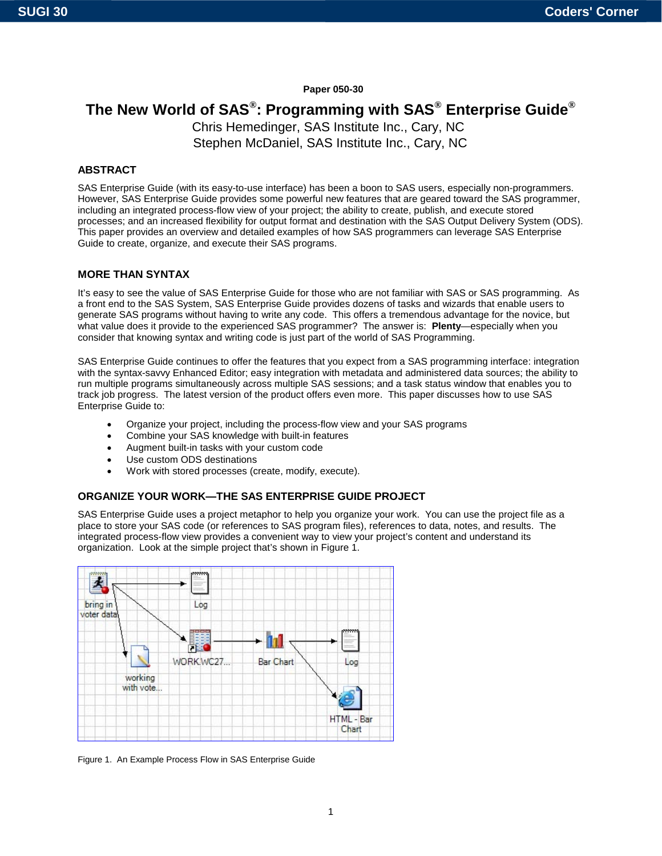# **Paper 050-30**

# **The New World of SAS®: Programming with SAS® Enterprise Guide®**

Chris Hemedinger, SAS Institute Inc., Cary, NC Stephen McDaniel, SAS Institute Inc., Cary, NC

## **ABSTRACT**

SAS Enterprise Guide (with its easy-to-use interface) has been a boon to SAS users, especially non-programmers. However, SAS Enterprise Guide provides some powerful new features that are geared toward the SAS programmer, including an integrated process-flow view of your project; the ability to create, publish, and execute stored processes; and an increased flexibility for output format and destination with the SAS Output Delivery System (ODS). This paper provides an overview and detailed examples of how SAS programmers can leverage SAS Enterprise Guide to create, organize, and execute their SAS programs.

## **MORE THAN SYNTAX**

It's easy to see the value of SAS Enterprise Guide for those who are not familiar with SAS or SAS programming. As a front end to the SAS System, SAS Enterprise Guide provides dozens of tasks and wizards that enable users to generate SAS programs without having to write any code. This offers a tremendous advantage for the novice, but what value does it provide to the experienced SAS programmer? The answer is: **Plenty**—especially when you consider that knowing syntax and writing code is just part of the world of SAS Programming.

SAS Enterprise Guide continues to offer the features that you expect from a SAS programming interface: integration with the syntax-savvy Enhanced Editor; easy integration with metadata and administered data sources; the ability to run multiple programs simultaneously across multiple SAS sessions; and a task status window that enables you to track job progress. The latest version of the product offers even more. This paper discusses how to use SAS Enterprise Guide to:

- Organize your project, including the process-flow view and your SAS programs
- Combine your SAS knowledge with built-in features
- Augment built-in tasks with your custom code
- Use custom ODS destinations
- Work with stored processes (create, modify, execute).

## **ORGANIZE YOUR WORK—THE SAS ENTERPRISE GUIDE PROJECT**

SAS Enterprise Guide uses a project metaphor to help you organize your work. You can use the project file as a place to store your SAS code (or references to SAS program files), references to data, notes, and results. The integrated process-flow view provides a convenient way to view your project's content and understand its organization. Look at the simple project that's shown in Figure 1.



Figure 1. An Example Process Flow in SAS Enterprise Guide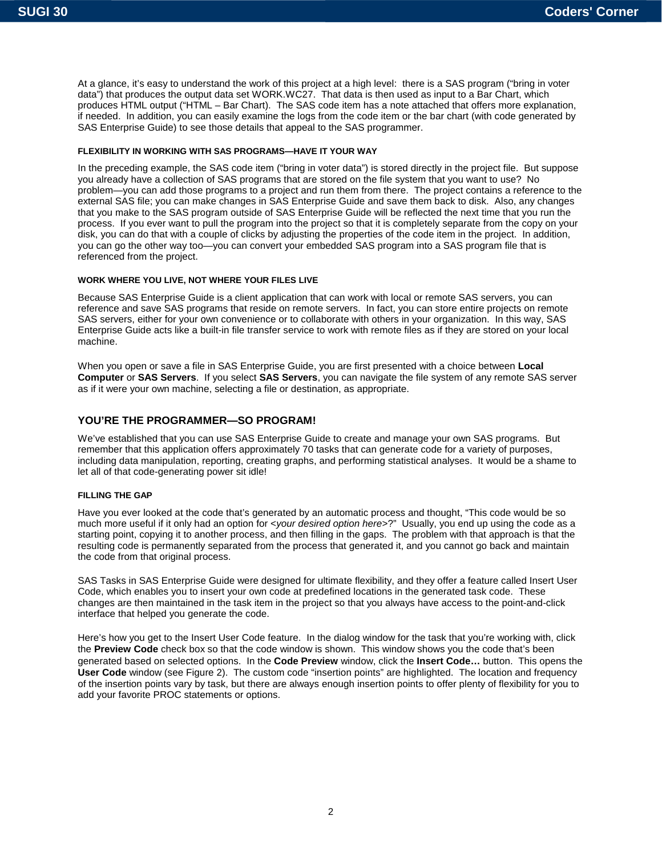At a glance, it's easy to understand the work of this project at a high level: there is a SAS program ("bring in voter data") that produces the output data set WORK.WC27. That data is then used as input to a Bar Chart, which produces HTML output ("HTML – Bar Chart). The SAS code item has a note attached that offers more explanation, if needed. In addition, you can easily examine the logs from the code item or the bar chart (with code generated by SAS Enterprise Guide) to see those details that appeal to the SAS programmer.

#### **FLEXIBILITY IN WORKING WITH SAS PROGRAMS—HAVE IT YOUR WAY**

In the preceding example, the SAS code item ("bring in voter data") is stored directly in the project file. But suppose you already have a collection of SAS programs that are stored on the file system that you want to use? No problem—you can add those programs to a project and run them from there. The project contains a reference to the external SAS file; you can make changes in SAS Enterprise Guide and save them back to disk. Also, any changes that you make to the SAS program outside of SAS Enterprise Guide will be reflected the next time that you run the process. If you ever want to pull the program into the project so that it is completely separate from the copy on your disk, you can do that with a couple of clicks by adjusting the properties of the code item in the project. In addition, you can go the other way too—you can convert your embedded SAS program into a SAS program file that is referenced from the project.

#### **WORK WHERE YOU LIVE, NOT WHERE YOUR FILES LIVE**

Because SAS Enterprise Guide is a client application that can work with local or remote SAS servers, you can reference and save SAS programs that reside on remote servers. In fact, you can store entire projects on remote SAS servers, either for your own convenience or to collaborate with others in your organization. In this way, SAS Enterprise Guide acts like a built-in file transfer service to work with remote files as if they are stored on your local machine.

When you open or save a file in SAS Enterprise Guide, you are first presented with a choice between **Local Computer** or **SAS Servers**. If you select **SAS Servers**, you can navigate the file system of any remote SAS server as if it were your own machine, selecting a file or destination, as appropriate.

## **YOU'RE THE PROGRAMMER—SO PROGRAM!**

We've established that you can use SAS Enterprise Guide to create and manage your own SAS programs. But remember that this application offers approximately 70 tasks that can generate code for a variety of purposes, including data manipulation, reporting, creating graphs, and performing statistical analyses. It would be a shame to let all of that code-generating power sit idle!

#### **FILLING THE GAP**

Have you ever looked at the code that's generated by an automatic process and thought, "This code would be so much more useful if it only had an option for <*your desired option here*>?" Usually, you end up using the code as a starting point, copying it to another process, and then filling in the gaps. The problem with that approach is that the resulting code is permanently separated from the process that generated it, and you cannot go back and maintain the code from that original process.

SAS Tasks in SAS Enterprise Guide were designed for ultimate flexibility, and they offer a feature called Insert User Code, which enables you to insert your own code at predefined locations in the generated task code. These changes are then maintained in the task item in the project so that you always have access to the point-and-click interface that helped you generate the code.

Here's how you get to the Insert User Code feature. In the dialog window for the task that you're working with, click the **Preview Code** check box so that the code window is shown. This window shows you the code that's been generated based on selected options. In the **Code Preview** window, click the **Insert Code…** button. This opens the **User Code** window (see Figure 2). The custom code "insertion points" are highlighted. The location and frequency of the insertion points vary by task, but there are always enough insertion points to offer plenty of flexibility for you to add your favorite PROC statements or options.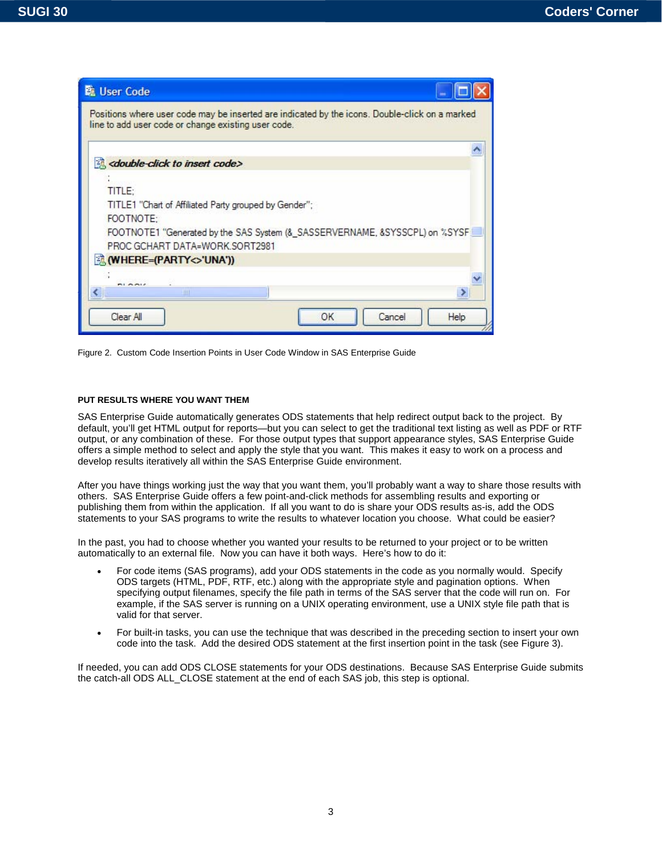

Figure 2. Custom Code Insertion Points in User Code Window in SAS Enterprise Guide

#### **PUT RESULTS WHERE YOU WANT THEM**

SAS Enterprise Guide automatically generates ODS statements that help redirect output back to the project. By default, you'll get HTML output for reports—but you can select to get the traditional text listing as well as PDF or RTF output, or any combination of these. For those output types that support appearance styles, SAS Enterprise Guide offers a simple method to select and apply the style that you want. This makes it easy to work on a process and develop results iteratively all within the SAS Enterprise Guide environment.

After you have things working just the way that you want them, you'll probably want a way to share those results with others. SAS Enterprise Guide offers a few point-and-click methods for assembling results and exporting or publishing them from within the application. If all you want to do is share your ODS results as-is, add the ODS statements to your SAS programs to write the results to whatever location you choose. What could be easier?

In the past, you had to choose whether you wanted your results to be returned to your project or to be written automatically to an external file. Now you can have it both ways. Here's how to do it:

- For code items (SAS programs), add your ODS statements in the code as you normally would. Specify ODS targets (HTML, PDF, RTF, etc.) along with the appropriate style and pagination options. When specifying output filenames, specify the file path in terms of the SAS server that the code will run on. For example, if the SAS server is running on a UNIX operating environment, use a UNIX style file path that is valid for that server.
- For built-in tasks, you can use the technique that was described in the preceding section to insert your own code into the task. Add the desired ODS statement at the first insertion point in the task (see Figure 3).

If needed, you can add ODS CLOSE statements for your ODS destinations. Because SAS Enterprise Guide submits the catch-all ODS ALL\_CLOSE statement at the end of each SAS job, this step is optional.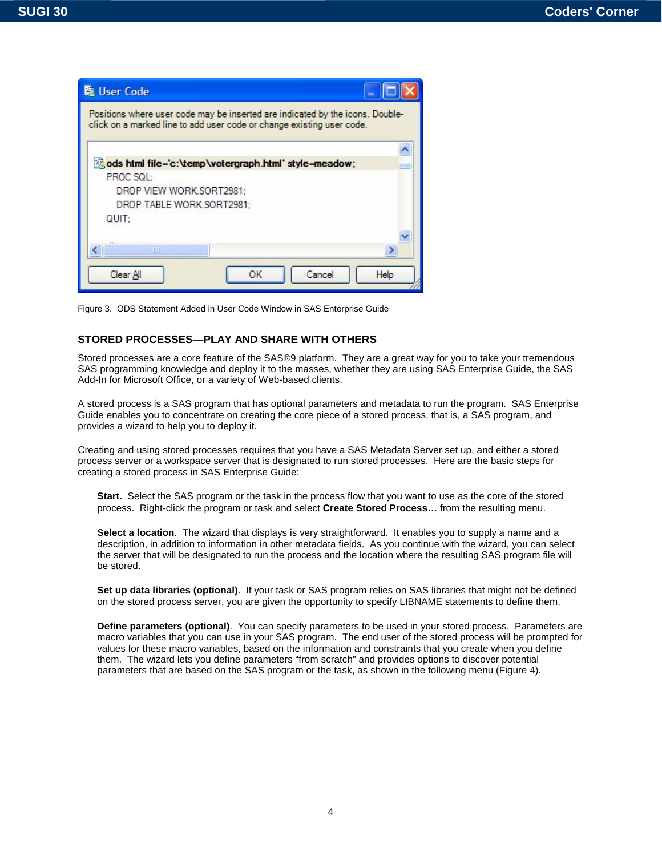| <b>配 User Code</b>                                                                                                                                     |                |
|--------------------------------------------------------------------------------------------------------------------------------------------------------|----------------|
| Positions where user code may be inserted are indicated by the icons. Double-<br>click on a marked line to add user code or change existing user code. |                |
|                                                                                                                                                        |                |
| and ods html file='c:\temp\votergraph.html' style=meadow;                                                                                              |                |
| PROC SQL:                                                                                                                                              |                |
| DROP VIEW WORK.SORT2981:                                                                                                                               |                |
| DROP TABLE WORK.SORT2981;                                                                                                                              |                |
| QUIT:                                                                                                                                                  |                |
|                                                                                                                                                        |                |
| Ш                                                                                                                                                      |                |
| OK<br>Clear All                                                                                                                                        | Help<br>Cancel |

Figure 3. ODS Statement Added in User Code Window in SAS Enterprise Guide

## **STORED PROCESSES—PLAY AND SHARE WITH OTHERS**

Stored processes are a core feature of the SAS®9 platform. They are a great way for you to take your tremendous SAS programming knowledge and deploy it to the masses, whether they are using SAS Enterprise Guide, the SAS Add-In for Microsoft Office, or a variety of Web-based clients.

A stored process is a SAS program that has optional parameters and metadata to run the program. SAS Enterprise Guide enables you to concentrate on creating the core piece of a stored process, that is, a SAS program, and provides a wizard to help you to deploy it.

Creating and using stored processes requires that you have a SAS Metadata Server set up, and either a stored process server or a workspace server that is designated to run stored processes. Here are the basic steps for creating a stored process in SAS Enterprise Guide:

**Start.** Select the SAS program or the task in the process flow that you want to use as the core of the stored process. Right-click the program or task and select **Create Stored Process…** from the resulting menu.

**Select a location**. The wizard that displays is very straightforward. It enables you to supply a name and a description, in addition to information in other metadata fields. As you continue with the wizard, you can select the server that will be designated to run the process and the location where the resulting SAS program file will be stored.

**Set up data libraries (optional)**. If your task or SAS program relies on SAS libraries that might not be defined on the stored process server, you are given the opportunity to specify LIBNAME statements to define them.

**Define parameters (optional)**. You can specify parameters to be used in your stored process. Parameters are macro variables that you can use in your SAS program. The end user of the stored process will be prompted for values for these macro variables, based on the information and constraints that you create when you define them. The wizard lets you define parameters "from scratch" and provides options to discover potential parameters that are based on the SAS program or the task, as shown in the following menu (Figure 4).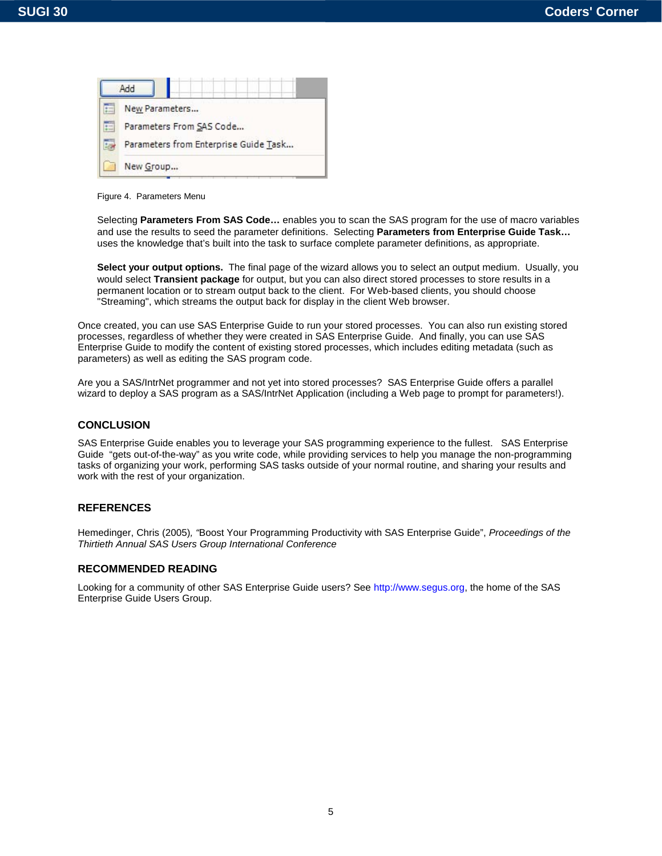

Figure 4. Parameters Menu

Selecting **Parameters From SAS Code…** enables you to scan the SAS program for the use of macro variables and use the results to seed the parameter definitions. Selecting **Parameters from Enterprise Guide Task…** uses the knowledge that's built into the task to surface complete parameter definitions, as appropriate.

**Select your output options.** The final page of the wizard allows you to select an output medium. Usually, you would select **Transient package** for output, but you can also direct stored processes to store results in a permanent location or to stream output back to the client. For Web-based clients, you should choose "Streaming", which streams the output back for display in the client Web browser.

Once created, you can use SAS Enterprise Guide to run your stored processes. You can also run existing stored processes, regardless of whether they were created in SAS Enterprise Guide. And finally, you can use SAS Enterprise Guide to modify the content of existing stored processes, which includes editing metadata (such as parameters) as well as editing the SAS program code.

Are you a SAS/IntrNet programmer and not yet into stored processes? SAS Enterprise Guide offers a parallel wizard to deploy a SAS program as a SAS/IntrNet Application (including a Web page to prompt for parameters!).

### **CONCLUSION**

SAS Enterprise Guide enables you to leverage your SAS programming experience to the fullest. SAS Enterprise Guide "gets out-of-the-way" as you write code, while providing services to help you manage the non-programming tasks of organizing your work, performing SAS tasks outside of your normal routine, and sharing your results and work with the rest of your organization.

## **REFERENCES**

Hemedinger, Chris (2005)*, "*Boost Your Programming Productivity with SAS Enterprise Guide", *Proceedings of the Thirtieth Annual SAS Users Group International Conference* 

#### **RECOMMENDED READING**

Looking for a community of other SAS Enterprise Guide users? See [http://www.segus.org,](http://www.segus.org) the home of the SAS Enterprise Guide Users Group.